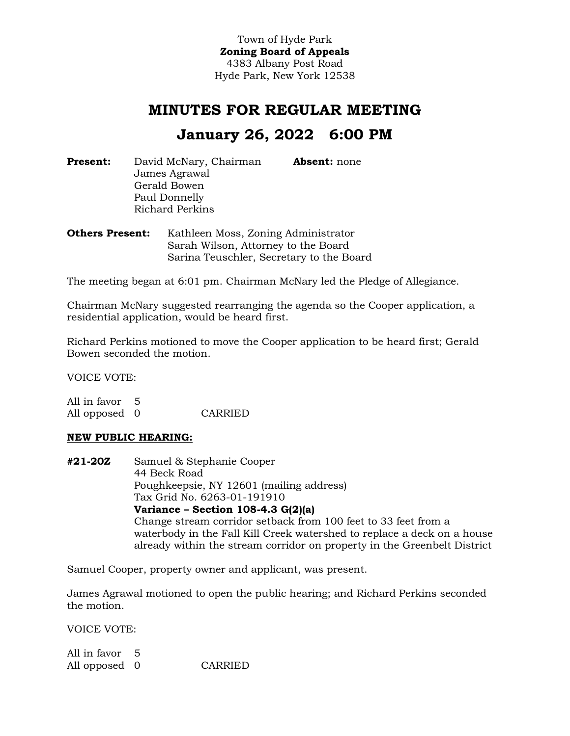Town of Hyde Park **Zoning Board of Appeals** 4383 Albany Post Road Hyde Park, New York 12538

# **MINUTES FOR REGULAR MEETING**

# **January 26, 2022 6:00 PM**

**Present:** David McNary, Chairman James Agrawal Gerald Bowen Paul Donnelly Richard Perkins **Absent:** none

**Others Present:** Kathleen Moss, Zoning Administrator Sarah Wilson, Attorney to the Board Sarina Teuschler, Secretary to the Board

The meeting began at 6:01 pm. Chairman McNary led the Pledge of Allegiance.

Chairman McNary suggested rearranging the agenda so the Cooper application, a residential application, would be heard first.

Richard Perkins motioned to move the Cooper application to be heard first; Gerald Bowen seconded the motion.

VOICE VOTE:

All in favor 5 All opposed 0 CARRIED

## **NEW PUBLIC HEARING:**

**#21-20Z** Samuel & Stephanie Cooper 44 Beck Road Poughkeepsie, NY 12601 (mailing address) Tax Grid No. 6263-01-191910 **Variance – Section 108-4.3 G(2)(a)** Change stream corridor setback from 100 feet to 33 feet from a waterbody in the Fall Kill Creek watershed to replace a deck on a house already within the stream corridor on property in the Greenbelt District

Samuel Cooper, property owner and applicant, was present.

James Agrawal motioned to open the public hearing; and Richard Perkins seconded the motion.

VOICE VOTE:

All in favor 5 All opposed 0 CARRIED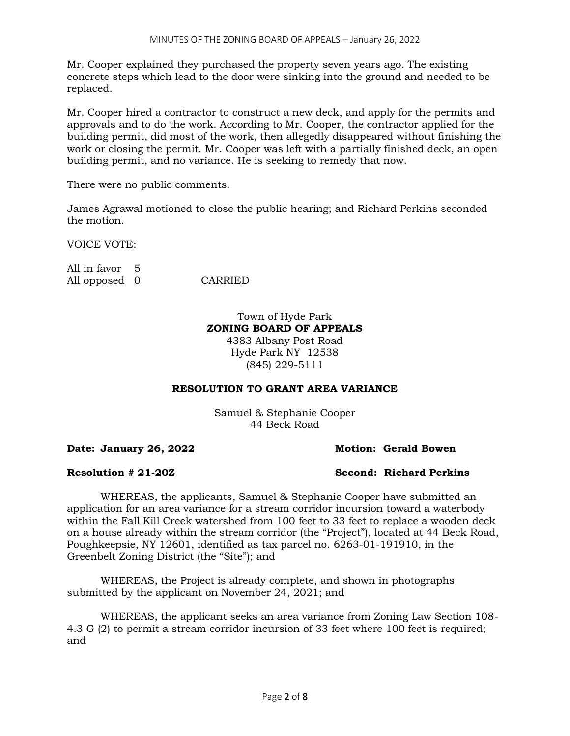Mr. Cooper explained they purchased the property seven years ago. The existing concrete steps which lead to the door were sinking into the ground and needed to be replaced.

Mr. Cooper hired a contractor to construct a new deck, and apply for the permits and approvals and to do the work. According to Mr. Cooper, the contractor applied for the building permit, did most of the work, then allegedly disappeared without finishing the work or closing the permit. Mr. Cooper was left with a partially finished deck, an open building permit, and no variance. He is seeking to remedy that now.

There were no public comments.

James Agrawal motioned to close the public hearing; and Richard Perkins seconded the motion.

VOICE VOTE:

All in favor 5 All opposed 0 CARRIED

## Town of Hyde Park **ZONING BOARD OF APPEALS** 4383 Albany Post Road Hyde Park NY 12538 (845) 229-5111

# **RESOLUTION TO GRANT AREA VARIANCE**

Samuel & Stephanie Cooper 44 Beck Road

**Date: January 26, 2022 Motion: Gerald Bowen**

## **Resolution # 21-20Z Second: Richard Perkins**

WHEREAS, the applicants, Samuel & Stephanie Cooper have submitted an application for an area variance for a stream corridor incursion toward a waterbody within the Fall Kill Creek watershed from 100 feet to 33 feet to replace a wooden deck on a house already within the stream corridor (the "Project"), located at 44 Beck Road, Poughkeepsie, NY 12601, identified as tax parcel no. 6263-01-191910, in the Greenbelt Zoning District (the "Site"); and

WHEREAS, the Project is already complete, and shown in photographs submitted by the applicant on November 24, 2021; and

WHEREAS, the applicant seeks an area variance from Zoning Law Section 108- 4.3 G (2) to permit a stream corridor incursion of 33 feet where 100 feet is required; and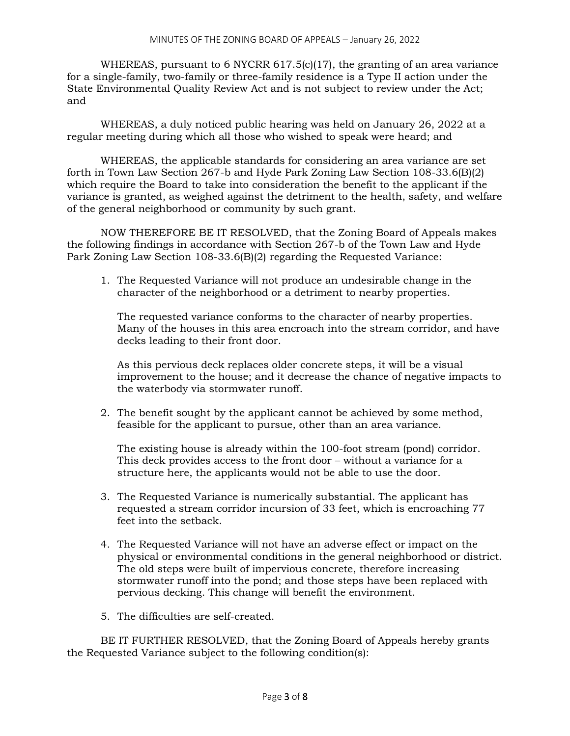WHEREAS, pursuant to 6 NYCRR  $617.5(c)(17)$ , the granting of an area variance for a single-family, two-family or three-family residence is a Type II action under the State Environmental Quality Review Act and is not subject to review under the Act; and

WHEREAS, a duly noticed public hearing was held on January 26, 2022 at a regular meeting during which all those who wished to speak were heard; and

WHEREAS, the applicable standards for considering an area variance are set forth in Town Law Section 267-b and Hyde Park Zoning Law Section 108-33.6(B)(2) which require the Board to take into consideration the benefit to the applicant if the variance is granted, as weighed against the detriment to the health, safety, and welfare of the general neighborhood or community by such grant.

NOW THEREFORE BE IT RESOLVED, that the Zoning Board of Appeals makes the following findings in accordance with Section 267-b of the Town Law and Hyde Park Zoning Law Section 108-33.6(B)(2) regarding the Requested Variance:

1. The Requested Variance will not produce an undesirable change in the character of the neighborhood or a detriment to nearby properties.

The requested variance conforms to the character of nearby properties. Many of the houses in this area encroach into the stream corridor, and have decks leading to their front door.

As this pervious deck replaces older concrete steps, it will be a visual improvement to the house; and it decrease the chance of negative impacts to the waterbody via stormwater runoff.

2. The benefit sought by the applicant cannot be achieved by some method, feasible for the applicant to pursue, other than an area variance.

The existing house is already within the 100-foot stream (pond) corridor. This deck provides access to the front door – without a variance for a structure here, the applicants would not be able to use the door.

- 3. The Requested Variance is numerically substantial. The applicant has requested a stream corridor incursion of 33 feet, which is encroaching 77 feet into the setback.
- 4. The Requested Variance will not have an adverse effect or impact on the physical or environmental conditions in the general neighborhood or district. The old steps were built of impervious concrete, therefore increasing stormwater runoff into the pond; and those steps have been replaced with pervious decking. This change will benefit the environment.
- 5. The difficulties are self-created.

BE IT FURTHER RESOLVED, that the Zoning Board of Appeals hereby grants the Requested Variance subject to the following condition(s):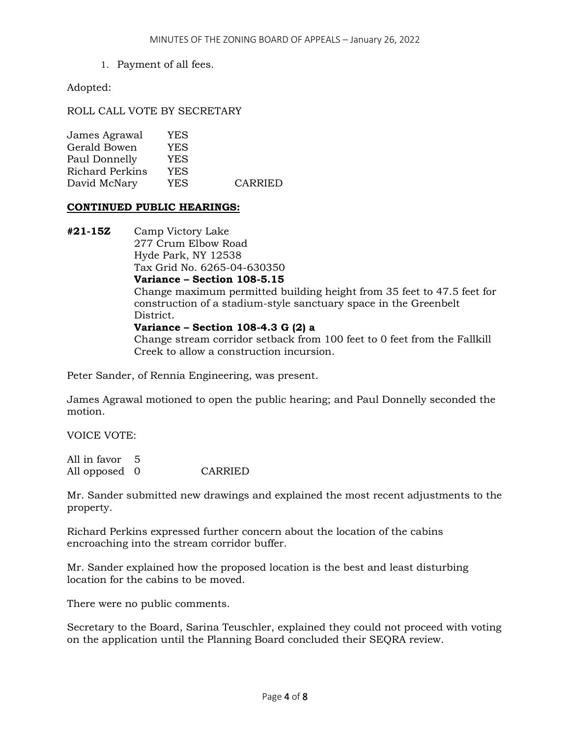1. Payment of all fees.

Adopted:

ROLL CALL VOTE BY SECRETARY

| YES. |         |
|------|---------|
| YES. |         |
| YES. |         |
| YES. |         |
| YES  | CARRIED |
|      |         |

## **CONTINUED PUBLIC HEARINGS:**

**#21-15Z** Camp Victory Lake 277 Crum Elbow Road Hyde Park, NY 12538 Tax Grid No. 6265-04-630350 **Variance – Section 108-5.15** Change maximum permitted building height from 35 feet to 47.5 feet for construction of a stadium-style sanctuary space in the Greenbelt District. **Variance – Section 108-4.3 G (2) a** Change stream corridor setback from 100 feet to 0 feet from the Fallkill Creek to allow a construction incursion.

Peter Sander, of Rennia Engineering, was present.

James Agrawal motioned to open the public hearing; and Paul Donnelly seconded the motion.

VOICE VOTE:

All in favor 5 All opposed 0 CARRIED

Mr. Sander submitted new drawings and explained the most recent adjustments to the property.

Richard Perkins expressed further concern about the location of the cabins encroaching into the stream corridor buffer.

Mr. Sander explained how the proposed location is the best and least disturbing location for the cabins to be moved.

There were no public comments.

Secretary to the Board, Sarina Teuschler, explained they could not proceed with voting on the application until the Planning Board concluded their SEQRA review.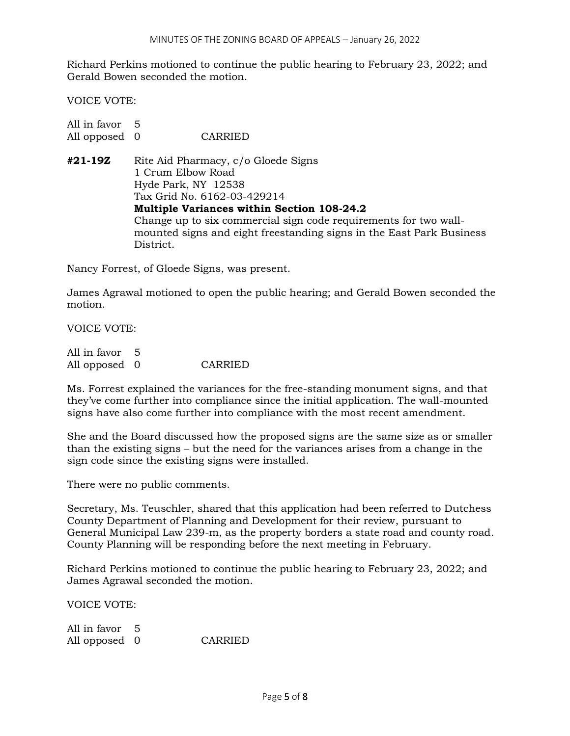Richard Perkins motioned to continue the public hearing to February 23, 2022; and Gerald Bowen seconded the motion.

VOICE VOTE:

| All in favor 5 |                                                                      |  |  |  |
|----------------|----------------------------------------------------------------------|--|--|--|
| All opposed 0  | CARRIED                                                              |  |  |  |
| #21-19Z        | Rite Aid Pharmacy, c/o Gloede Signs                                  |  |  |  |
|                | 1 Crum Elbow Road                                                    |  |  |  |
|                | Hyde Park, NY 12538                                                  |  |  |  |
|                | Tax Grid No. 6162-03-429214                                          |  |  |  |
|                | <b>Multiple Variances within Section 108-24.2</b>                    |  |  |  |
|                | Change up to six commercial sign code requirements for two wall-     |  |  |  |
|                | mounted signs and eight freestanding signs in the East Park Business |  |  |  |
|                | District.                                                            |  |  |  |

Nancy Forrest, of Gloede Signs, was present.

James Agrawal motioned to open the public hearing; and Gerald Bowen seconded the motion.

VOICE VOTE:

| All in favor 5 |         |
|----------------|---------|
| All opposed 0  | CARRIED |

Ms. Forrest explained the variances for the free-standing monument signs, and that they've come further into compliance since the initial application. The wall-mounted signs have also come further into compliance with the most recent amendment.

She and the Board discussed how the proposed signs are the same size as or smaller than the existing signs – but the need for the variances arises from a change in the sign code since the existing signs were installed.

There were no public comments.

Secretary, Ms. Teuschler, shared that this application had been referred to Dutchess County Department of Planning and Development for their review, pursuant to General Municipal Law 239-m, as the property borders a state road and county road. County Planning will be responding before the next meeting in February.

Richard Perkins motioned to continue the public hearing to February 23, 2022; and James Agrawal seconded the motion.

VOICE VOTE:

All in favor 5 All opposed 0 CARRIED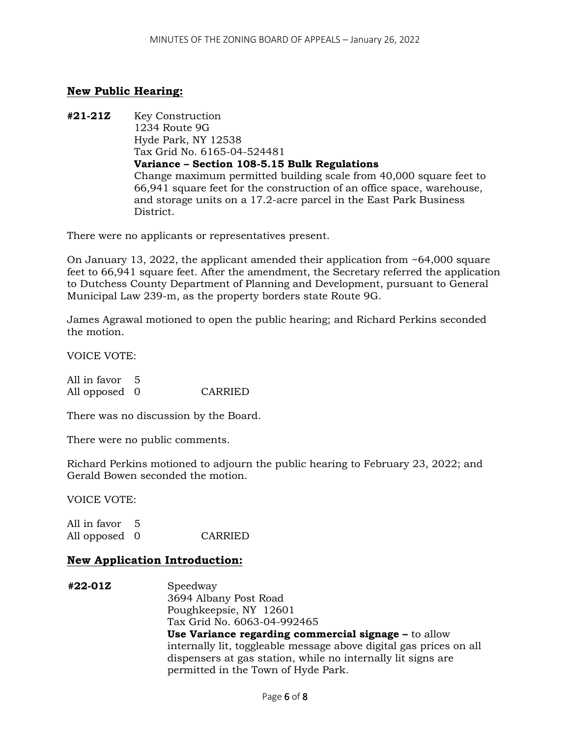# **New Public Hearing:**

**#21-21Z** Key Construction 1234 Route 9G Hyde Park, NY 12538 Tax Grid No. 6165-04-524481 **Variance – Section 108-5.15 Bulk Regulations** Change maximum permitted building scale from 40,000 square feet to 66,941 square feet for the construction of an office space, warehouse, and storage units on a 17.2-acre parcel in the East Park Business District.

There were no applicants or representatives present.

On January 13, 2022, the applicant amended their application from ~64,000 square feet to 66,941 square feet. After the amendment, the Secretary referred the application to Dutchess County Department of Planning and Development, pursuant to General Municipal Law 239-m, as the property borders state Route 9G.

James Agrawal motioned to open the public hearing; and Richard Perkins seconded the motion.

VOICE VOTE:

All in favor 5 All opposed 0 CARRIED

There was no discussion by the Board.

There were no public comments.

Richard Perkins motioned to adjourn the public hearing to February 23, 2022; and Gerald Bowen seconded the motion.

VOICE VOTE:

All in favor 5 All opposed 0 CARRIED

# **New Application Introduction:**

**#22-01Z** Speedway 3694 Albany Post Road Poughkeepsie, NY 12601 Tax Grid No. 6063-04-992465 **Use Variance regarding commercial signage –** to allow internally lit, toggleable message above digital gas prices on all dispensers at gas station, while no internally lit signs are permitted in the Town of Hyde Park.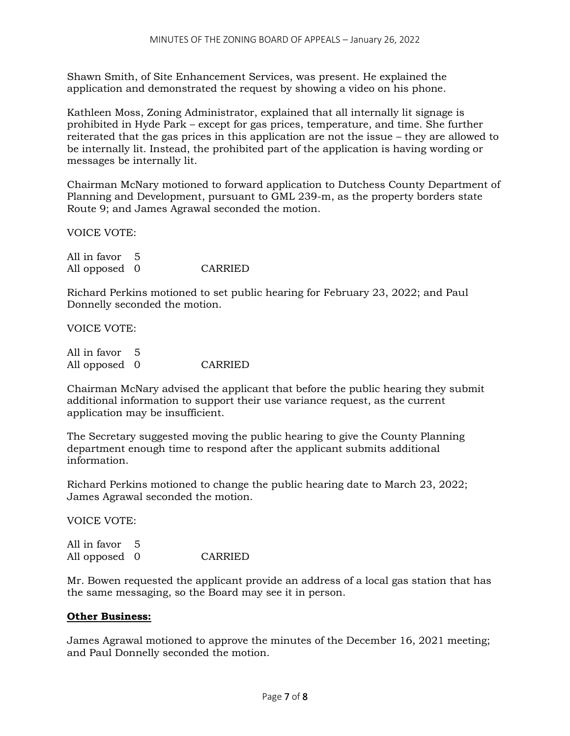Shawn Smith, of Site Enhancement Services, was present. He explained the application and demonstrated the request by showing a video on his phone.

Kathleen Moss, Zoning Administrator, explained that all internally lit signage is prohibited in Hyde Park – except for gas prices, temperature, and time. She further reiterated that the gas prices in this application are not the issue – they are allowed to be internally lit. Instead, the prohibited part of the application is having wording or messages be internally lit.

Chairman McNary motioned to forward application to Dutchess County Department of Planning and Development, pursuant to GML 239-m, as the property borders state Route 9; and James Agrawal seconded the motion.

VOICE VOTE:

All in favor 5 All opposed 0 CARRIED

Richard Perkins motioned to set public hearing for February 23, 2022; and Paul Donnelly seconded the motion.

VOICE VOTE:

| All in favor 5 |         |
|----------------|---------|
| All opposed 0  | CARRIED |

Chairman McNary advised the applicant that before the public hearing they submit additional information to support their use variance request, as the current application may be insufficient.

The Secretary suggested moving the public hearing to give the County Planning department enough time to respond after the applicant submits additional information.

Richard Perkins motioned to change the public hearing date to March 23, 2022; James Agrawal seconded the motion.

VOICE VOTE:

All in favor 5 All opposed 0 CARRIED

Mr. Bowen requested the applicant provide an address of a local gas station that has the same messaging, so the Board may see it in person.

## **Other Business:**

James Agrawal motioned to approve the minutes of the December 16, 2021 meeting; and Paul Donnelly seconded the motion.